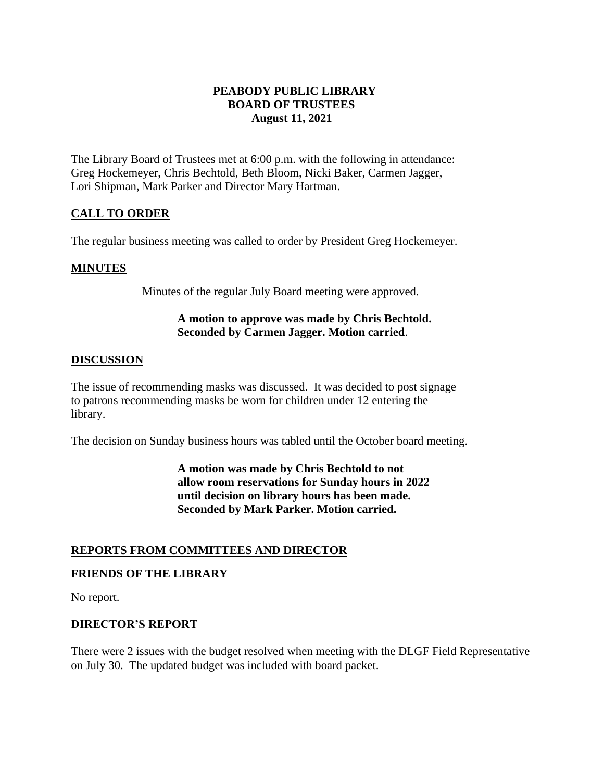# **PEABODY PUBLIC LIBRARY BOARD OF TRUSTEES August 11, 2021**

The Library Board of Trustees met at 6:00 p.m. with the following in attendance: Greg Hockemeyer, Chris Bechtold, Beth Bloom, Nicki Baker, Carmen Jagger, Lori Shipman, Mark Parker and Director Mary Hartman.

# **CALL TO ORDER**

The regular business meeting was called to order by President Greg Hockemeyer.

### **MINUTES**

Minutes of the regular July Board meeting were approved.

## **A motion to approve was made by Chris Bechtold. Seconded by Carmen Jagger. Motion carried**.

#### **DISCUSSION**

The issue of recommending masks was discussed. It was decided to post signage to patrons recommending masks be worn for children under 12 entering the library.

The decision on Sunday business hours was tabled until the October board meeting.

**A motion was made by Chris Bechtold to not allow room reservations for Sunday hours in 2022 until decision on library hours has been made. Seconded by Mark Parker. Motion carried.** 

### **REPORTS FROM COMMITTEES AND DIRECTOR**

#### **FRIENDS OF THE LIBRARY**

No report.

### **DIRECTOR'S REPORT**

There were 2 issues with the budget resolved when meeting with the DLGF Field Representative on July 30. The updated budget was included with board packet.